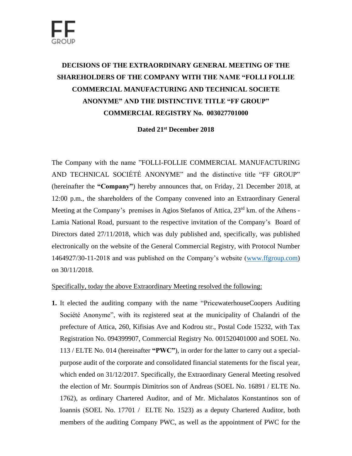## **DECISIONS OF THE EXTRAORDINARY GENERAL MEETING OF THE SHAREHOLDERS OF THE COMPANY WITH THE NAME "FOLLI FOLLIE COMMERCIAL MANUFACTURING AND TECHNICAL SOCIETE ANONYME" AND THE DISTINCTIVE TITLE "FF GROUP" COMMERCIAL REGISTRY No. 003027701000**

## **Dated 21st December 2018**

The Company with the name "FOLLI-FOLLIE COMMERCIAL MANUFACTURING AND TECHNICAL SOCIÉTÉ ANONYME" and the distinctive title "FF GROUP" (hereinafter the **"Company"**) hereby announces that, on Friday, 21 December 2018, at 12:00 p.m., the shareholders of the Company convened into an Extraordinary General Meeting at the Company's premises in Agios Stefanos of Attica, 23<sup>rd</sup> km. of the Athens -Lamia National Road, pursuant to the respective invitation of the Company's Board of Directors dated 27/11/2018, which was duly published and, specifically, was published electronically on the website of the General Commercial Registry, with Protocol Number 1464927/30-11-2018 and was published on the Company's website [\(www.ffgroup.com\)](http://www.ffgroup.com/) on 30/11/2018.

## Specifically, today the above Extraordinary Meeting resolved the following:

**1.** It elected the auditing company with the name "PricewaterhouseCoopers Auditing Société Anonyme", with its registered seat at the municipality of Chalandri of the prefecture of Attica, 260, Kifisias Ave and Kodrou str., Postal Code 15232, with Tax Registration No. 094399907, Commercial Registry No. 001520401000 and SOEL No. 113 / ELTE No. 014 (hereinafter **"PWC"**), in order for the latter to carry out a specialpurpose audit of the corporate and consolidated financial statements for the fiscal year, which ended on 31/12/2017. Specifically, the Extraordinary General Meeting resolved the election of Mr. Sourmpis Dimitrios son of Andreas (SOEL No. 16891 / ELTE No. 1762), as ordinary Chartered Auditor, and of Mr. Michalatos Konstantinos son of Ioannis (SOEL No. 17701 / ELTE No. 1523) as a deputy Chartered Auditor, both members of the auditing Company PWC, as well as the appointment of PWC for the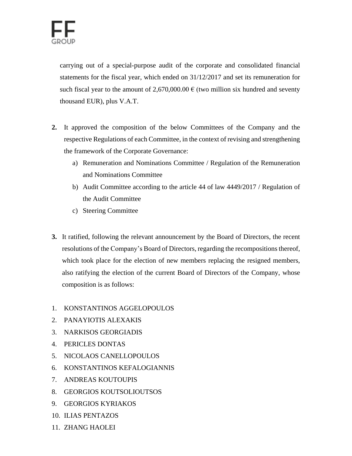carrying out of a special-purpose audit of the corporate and consolidated financial statements for the fiscal year, which ended on 31/12/2017 and set its remuneration for such fiscal year to the amount of 2,670,000.00  $\epsilon$  (two million six hundred and seventy thousand EUR), plus V.A.T.

- **2.** It approved the composition of the below Committees of the Company and the respective Regulations of each Committee, in the context of revising and strengthening the framework of the Corporate Governance:
	- a) Remuneration and Nominations Committee / Regulation of the Remuneration and Nominations Committee
	- b) Audit Committee according to the article 44 of law 4449/2017 / Regulation of the Audit Committee
	- c) Steering Committee
- **3.** It ratified, following the relevant announcement by the Board of Directors, the recent resolutions of the Company's Board of Directors, regarding the recompositions thereof, which took place for the election of new members replacing the resigned members, also ratifying the election of the current Board of Directors of the Company, whose composition is as follows:
- 1. KONSTANTINOS AGGELOPOULOS
- 2. PANAYIOTIS ALEXAKIS
- 3. NARKISOS GEORGIADIS
- 4. PERICLES DONTAS
- 5. NICOLAOS CANELLOPOULOS
- 6. KONSTANTINOS KEFALOGIANNIS
- 7. ANDREAS KOUTOUPIS
- 8. GEORGIOS KOUTSOLIOUTSOS
- 9. GEORGIOS KYRIAKOS
- 10. ILIAS PENTAZOS
- 11. ZHANG HAOLEI